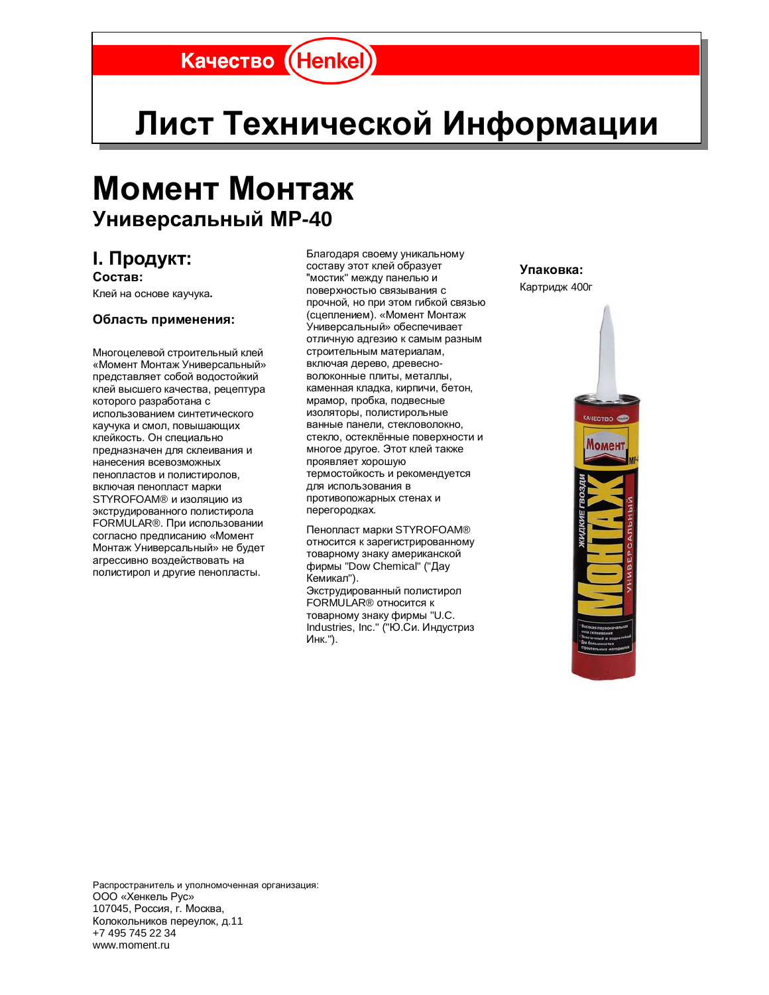## Качество (Henkel)

# Лист Технической Информации

## **Момент Монтаж** Универсальный МР-40

### **І.** Продукт:

 $C$ остав: Клей на основе каучука.

#### Область применения:

Многоцелевой строительный клей «Момент Монтаж Универсальный» представляет собой водостойкий клей высшего качества, рецептура которого разработана с использованием синтетического каучука и смол, повышающих клейкость. Он специально предназначен для склеивания и нанесения всевозможных пенопластов и полистиролов. включая пенопласт марки STYROFOAM® и изоляцию из экструдированного полистирола FORMULAR®. При использовании согласно предписанию «Момент Монтаж Универсальный» не будет агрессивно воздействовать на полистирол и другие пенопласты.

Благодаря своему уникальному составу этот клей образует "мостик" между панелью и поверхностью связывания с прочной, но при этом гибкой связью (сцеплением). «Момент Монтаж Универсальный» обеспечивает отличную адгезию к самым разным строительным материалам, включая дерево, древесноволоконные плиты, металлы, каменная кладка, кирпичи, бетон, мрамор, пробка, подвесные изоляторы, полистирольные ванные панели, стекловолокно, стекло, остеклённые поверхности и многое другое. Этот клей также проявляет хорошую термостойкость и рекомендуется для использования в противопожарных стенах и перегородках.

Пенопласт марки STYROFOAM® относится к зарегистрированному товарному знаку американской фирмы "Dow Chemical" ("Дау Кемикал"). Экструдированный полистирол FORMULAR<sup>®</sup> относится к товарному знаку фирмы "U.C. Industries, Inc." ("Ю.Си. Индустриз Инк.").

**ɍɩɚɤɨɜɤɚ:**  Картридж 400г



Распространитель и уполномоченная организация: ООО «Хенкель Рус» 107045, Россия, г. Москва, Колокольников переулок, д.11 +7 495 745 22 34 www.moment.ru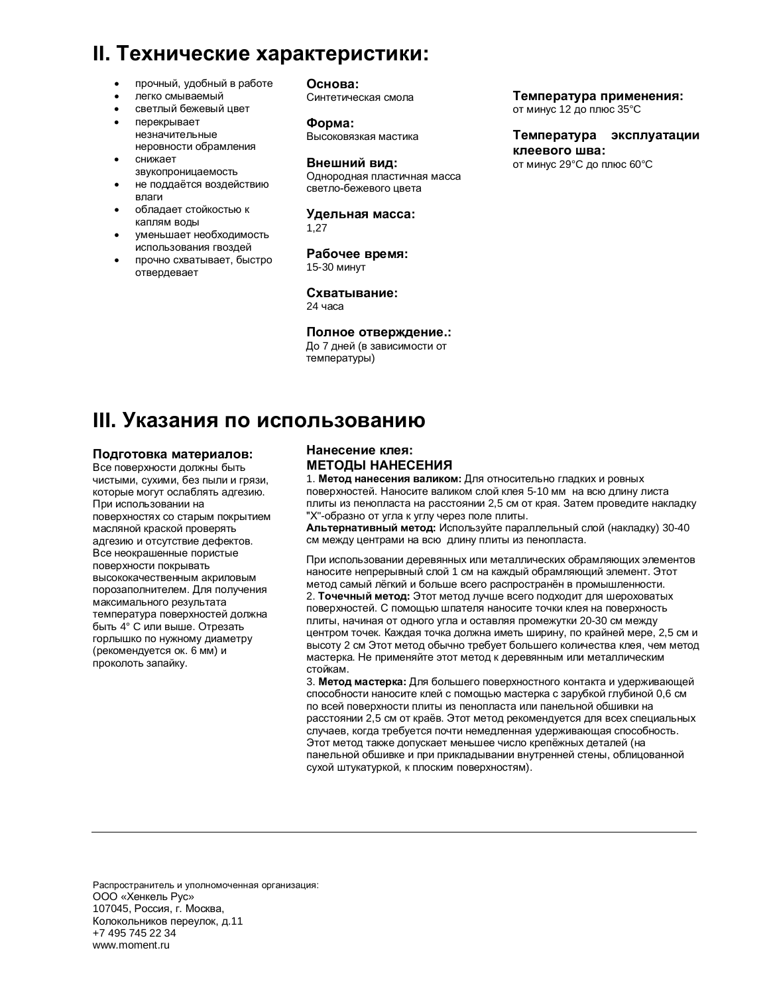### **II. Технические характеристики:**

- прочный, удобный в работе
- легко смываемый
- светлый бежевый цвет
- перекрывает незначительные неровности обрамления
- снижает
- звукопроницаемость
- не поддаётся воздействию впаги
- обладает стойкостью к каплям воды
- уменьшает необходимость использования гвоздей
- прочно схватывает, быстро отвердевает

Oснова: Синтетическая смола

Форма: Высоковязкая мастика

#### Внешний вид:

Однородная пластичная масса светло-бежевого цвета

Удельная масса: 1,27

**Рабочее время:** 15-30 минут

Схватывание: 24 yaca

#### Полное отверждение.:

До 7 дней (в зависимости от температуры)

#### Температура применения:

от минус 12 до плюс 35°C

Температура эксплуатации клеевого шва: от минус 29°С до плюс 60°С

## **III. Указания по использованию**

#### Подготовка материалов:

Все поверхности должны быть чистыми, сухими, без пыли и грязи, которые могут ослаблять адгезию. При использовании на поверхностях со старым покрытием масляной краской проверять адгезию и отсутствие дефектов. Все неокрашенные пористые поверхности покрывать высококачественным акриловым порозаполнителем. Для получения максимального результата температура поверхностей должна быть 4° С или выше. Отрезать горлышко по нужному диаметру (рекомендуется ок. 6 мм) и проколоть запайку.

#### **Нанесение клея:** МЕТОДЫ НАНЕСЕНИЯ

1. Метод нанесения валиком: Для относительно гладких и ровных поверхностей. Наносите валиком слой клея 5-10 мм на всю длину листа плиты из пенопласта на расстоянии 2,5 см от края. Затем проведите накладку "Х"-образно от угла к углу через поле плиты.

**Альтернативный метод: Используйте параллельный слой (накладку) 30-40** см между центрами на всю длину плиты из пенопласта.

При использовании деревянных или металлических обрамляющих элементов наносите непрерывный слой 1 см на каждый обрамляющий элемент. Этот метод самый лёгкий и больше всего распространён в промышленности. 2. **Точечный метод:** Этот метод лучше всего подходит для шероховатых поверхностей. С помощью шпателя наносите точки клея на поверхность плиты, начиная от одного угла и оставляя промежутки 20-30 см между центром точек. Каждая точка должна иметь ширину, по крайней мере, 2,5 см и высоту 2 см Этот метод обычно требует большего количества клея, чем метод мастерка. Не применяйте этот метод к деревянным или металлическим стойкам.

3. **Метод мастерка:** Для большего поверхностного контакта и удерживающей способности наносите клей с помощью мастерка с зарубкой глубиной 0.6 см по всей поверхности плиты из пенопласта или панельной обшивки на расстоянии 2,5 см от краёв. Этот метод рекомендуется для всех специальных случаев, когда требуется почти немедленная удерживающая способность. Этот метод также допускает меньшее число крепёжных деталей (на панельной обшивке и при прикладывании внутренней стены, облицованной сухой штукатуркой, к плоским поверхностям).

Распространитель и уполномоченная организация: ООО «Хенкель Рус» 107045, Россия, г. Москва, Колокольников переулок, д.11 +7 495 745 22 34 www.moment.ru